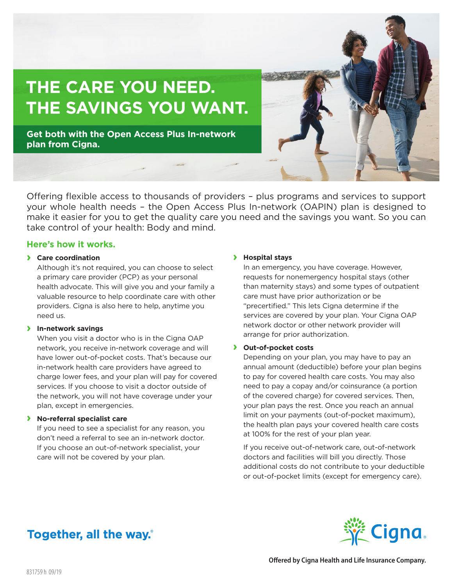# **THE CARE YOU NEED. THE SAVINGS YOU WANT.**

**Get both with the Open Access Plus In-network plan from Cigna.**

Offering flexible access to thousands of providers – plus programs and services to support your whole health needs – the Open Access Plus In-network (OAPIN) plan is designed to make it easier for you to get the quality care you need and the savings you want. So you can take control of your health: Body and mind.

### **Here's how it works.**

### **› Care coordination**

Although it's not required, you can choose to select a primary care provider (PCP) as your personal health advocate. This will give you and your family a valuable resource to help coordinate care with other providers. Cigna is also here to help, anytime you need us.

### **› In-network savings**

When you visit a doctor who is in the Cigna OAP network, you receive in-network coverage and will have lower out-of-pocket costs. That's because our in-network health care providers have agreed to charge lower fees, and your plan will pay for covered services. If you choose to visit a doctor outside of the network, you will not have coverage under your plan, except in emergencies.

#### **› No-referral specialist care**

If you need to see a specialist for any reason, you don't need a referral to see an in-network doctor. If you choose an out-of-network specialist, your care will not be covered by your plan.

### **› Hospital stays**

In an emergency, you have coverage. However, requests for nonemergency hospital stays (other than maternity stays) and some types of outpatient care must have prior authorization or be "precertified." This lets Cigna determine if the services are covered by your plan. Your Cigna OAP network doctor or other network provider will arrange for prior authorization.

### **› Out-of-pocket costs**

Depending on your plan, you may have to pay an annual amount (deductible) before your plan begins to pay for covered health care costs. You may also need to pay a copay and/or coinsurance (a portion of the covered charge) for covered services. Then, your plan pays the rest. Once you reach an annual limit on your payments (out-of-pocket maximum), the health plan pays your covered health care costs at 100% for the rest of your plan year.

If you receive out-of-network care, out-of-network doctors and facilities will bill you directly. Those additional costs do not contribute to your deductible or out-of-pocket limits (except for emergency care).

# Together, all the way.



**Offered by Cigna Health and Life Insurance Company.**